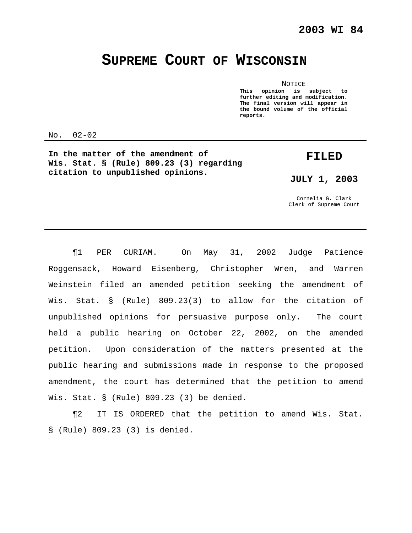## **SUPREME COURT OF WISCONSIN**

NOTICE

**This opinion is subject to further editing and modification. The final version will appear in the bound volume of the official reports.** 

No. 02-02

**In the matter of the amendment of Wis. Stat. § (Rule) 809.23 (3) regarding citation to unpublished opinions.** 

## **FILED**

## **JULY 1, 2003**

Cornelia G. Clark Clerk of Supreme Court

¶1 PER CURIAM. On May 31, 2002 Judge Patience Roggensack, Howard Eisenberg, Christopher Wren, and Warren Weinstein filed an amended petition seeking the amendment of Wis. Stat. § (Rule) 809.23(3) to allow for the citation of unpublished opinions for persuasive purpose only. The court held a public hearing on October 22, 2002, on the amended petition. Upon consideration of the matters presented at the public hearing and submissions made in response to the proposed amendment, the court has determined that the petition to amend Wis. Stat. § (Rule) 809.23 (3) be denied.

¶2 IT IS ORDERED that the petition to amend Wis. Stat. § (Rule) 809.23 (3) is denied.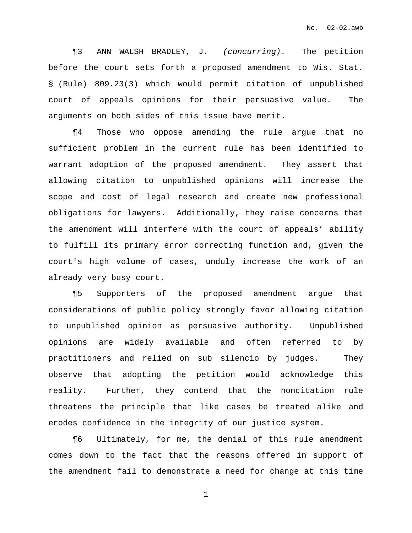¶3 ANN WALSH BRADLEY, J. *(concurring).* The petition before the court sets forth a proposed amendment to Wis. Stat. § (Rule) 809.23(3) which would permit citation of unpublished court of appeals opinions for their persuasive value. The arguments on both sides of this issue have merit.

¶4 Those who oppose amending the rule argue that no sufficient problem in the current rule has been identified to warrant adoption of the proposed amendment. They assert that allowing citation to unpublished opinions will increase the scope and cost of legal research and create new professional obligations for lawyers. Additionally, they raise concerns that the amendment will interfere with the court of appeals' ability to fulfill its primary error correcting function and, given the court's high volume of cases, unduly increase the work of an already very busy court.

¶5 Supporters of the proposed amendment argue that considerations of public policy strongly favor allowing citation to unpublished opinion as persuasive authority. Unpublished opinions are widely available and often referred to by practitioners and relied on sub silencio by judges. They observe that adopting the petition would acknowledge this reality. Further, they contend that the noncitation rule threatens the principle that like cases be treated alike and erodes confidence in the integrity of our justice system.

¶6 Ultimately, for me, the denial of this rule amendment comes down to the fact that the reasons offered in support of the amendment fail to demonstrate a need for change at this time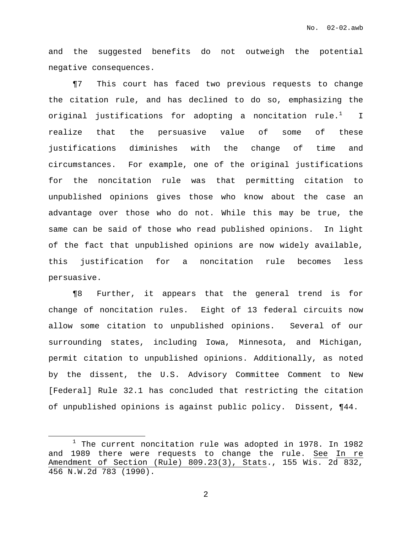and the suggested benefits do not outweigh the potential negative consequences.

¶7 This court has faced two previous requests to change the citation rule, and has declined to do so, emphasizing the original justifications for adopting a noncitation  $\text{rule.}^1$  I realize that the persuasive value of some of these justifications diminishes with the change of time and circumstances. For example, one of the original justifications for the noncitation rule was that permitting citation to unpublished opinions gives those who know about the case an advantage over those who do not. While this may be true, the same can be said of those who read published opinions. In light of the fact that unpublished opinions are now widely available, this justification for a noncitation rule becomes less persuasive.

¶8 Further, it appears that the general trend is for change of noncitation rules. Eight of 13 federal circuits now allow some citation to unpublished opinions. Several of our surrounding states, including Iowa, Minnesota, and Michigan, permit citation to unpublished opinions. Additionally, as noted by the dissent, the U.S. Advisory Committee Comment to New [Federal] Rule 32.1 has concluded that restricting the citation of unpublished opinions is against public policy. Dissent, ¶44.

<sup>1</sup>  $1$  The current noncitation rule was adopted in 1978. In 1982 and 1989 there were requests to change the rule. See In re Amendment of Section (Rule) 809.23(3), Stats., 155 Wis. 2d 832, 456 N.W.2d 783 (1990).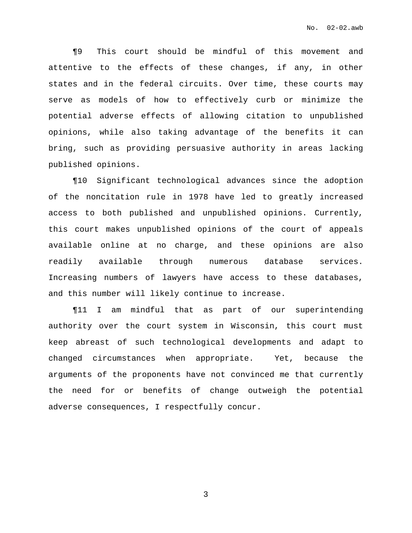¶9 This court should be mindful of this movement and attentive to the effects of these changes, if any, in other states and in the federal circuits. Over time, these courts may serve as models of how to effectively curb or minimize the potential adverse effects of allowing citation to unpublished opinions, while also taking advantage of the benefits it can bring, such as providing persuasive authority in areas lacking published opinions.

¶10 Significant technological advances since the adoption of the noncitation rule in 1978 have led to greatly increased access to both published and unpublished opinions. Currently, this court makes unpublished opinions of the court of appeals available online at no charge, and these opinions are also readily available through numerous database services. Increasing numbers of lawyers have access to these databases, and this number will likely continue to increase.

¶11 I am mindful that as part of our superintending authority over the court system in Wisconsin, this court must keep abreast of such technological developments and adapt to changed circumstances when appropriate. Yet, because the arguments of the proponents have not convinced me that currently the need for or benefits of change outweigh the potential adverse consequences, I respectfully concur.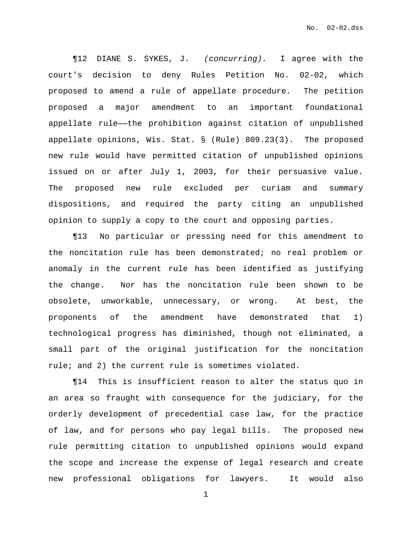¶12 DIANE S. SYKES, J. *(concurring).* I agree with the court's decision to deny Rules Petition No. 02-02, which proposed to amend a rule of appellate procedure. The petition proposed a major amendment to an important foundational appellate rule——the prohibition against citation of unpublished appellate opinions, Wis. Stat. § (Rule) 809.23(3). The proposed new rule would have permitted citation of unpublished opinions issued on or after July 1, 2003, for their persuasive value. The proposed new rule excluded per curiam and summary dispositions, and required the party citing an unpublished opinion to supply a copy to the court and opposing parties.

¶13 No particular or pressing need for this amendment to the noncitation rule has been demonstrated; no real problem or anomaly in the current rule has been identified as justifying the change. Nor has the noncitation rule been shown to be obsolete, unworkable, unnecessary, or wrong. At best, the proponents of the amendment have demonstrated that 1) technological progress has diminished, though not eliminated, a small part of the original justification for the noncitation rule; and 2) the current rule is sometimes violated.

¶14 This is insufficient reason to alter the status quo in an area so fraught with consequence for the judiciary, for the orderly development of precedential case law, for the practice of law, and for persons who pay legal bills. The proposed new rule permitting citation to unpublished opinions would expand the scope and increase the expense of legal research and create new professional obligations for lawyers. It would also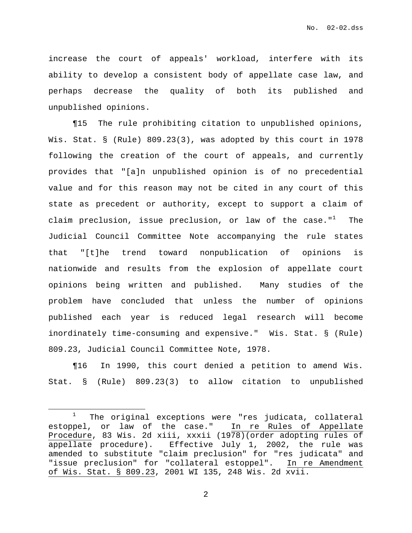increase the court of appeals' workload, interfere with its ability to develop a consistent body of appellate case law, and perhaps decrease the quality of both its published and unpublished opinions.

¶15 The rule prohibiting citation to unpublished opinions, Wis. Stat. § (Rule) 809.23(3), was adopted by this court in 1978 following the creation of the court of appeals, and currently provides that "[a]n unpublished opinion is of no precedential value and for this reason may not be cited in any court of this state as precedent or authority, except to support a claim of claim preclusion, issue preclusion, or law of the case."<sup>1</sup> The Judicial Council Committee Note accompanying the rule states that "[t]he trend toward nonpublication of opinions is nationwide and results from the explosion of appellate court opinions being written and published. Many studies of the problem have concluded that unless the number of opinions published each year is reduced legal research will become inordinately time-consuming and expensive." Wis. Stat. § (Rule) 809.23, Judicial Council Committee Note, 1978.

¶16 In 1990, this court denied a petition to amend Wis. Stat. § (Rule) 809.23(3) to allow citation to unpublished

<sup>1</sup>  $1$  The original exceptions were "res judicata, collateral estoppel, or law of the case." In re Rules of Appellate Procedure, 83 Wis. 2d xiii, xxxii (1978)(order adopting rules of appellate procedure). Effective July 1, 2002, the rule was amended to substitute "claim preclusion" for "res judicata" and "issue preclusion" for "collateral estoppel". In re Amendment of Wis. Stat. § 809.23, 2001 WI 135, 248 Wis. 2d xvii.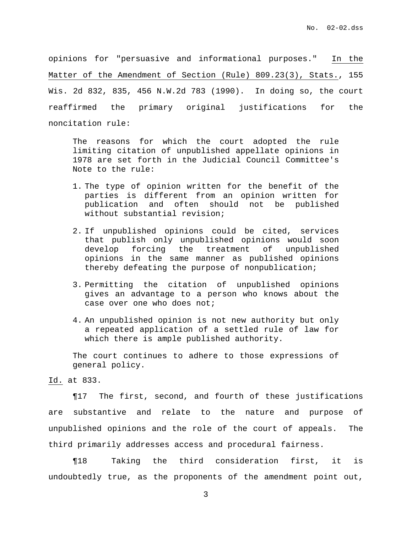opinions for "persuasive and informational purposes." In the Matter of the Amendment of Section (Rule) 809.23(3), Stats., 155 Wis. 2d 832, 835, 456 N.W.2d 783 (1990). In doing so, the court reaffirmed the primary original justifications for the noncitation rule:

The reasons for which the court adopted the rule limiting citation of unpublished appellate opinions in 1978 are set forth in the Judicial Council Committee's Note to the rule:

- 1. The type of opinion written for the benefit of the parties is different from an opinion written for publication and often should not be published without substantial revision;
- 2. If unpublished opinions could be cited, services that publish only unpublished opinions would soon develop forcing the treatment of unpublished opinions in the same manner as published opinions thereby defeating the purpose of nonpublication;
- 3. Permitting the citation of unpublished opinions gives an advantage to a person who knows about the case over one who does not;
- 4. An unpublished opinion is not new authority but only a repeated application of a settled rule of law for which there is ample published authority.

The court continues to adhere to those expressions of general policy.

Id. at 833.

¶17 The first, second, and fourth of these justifications are substantive and relate to the nature and purpose of unpublished opinions and the role of the court of appeals. The third primarily addresses access and procedural fairness.

¶18 Taking the third consideration first, it is undoubtedly true, as the proponents of the amendment point out,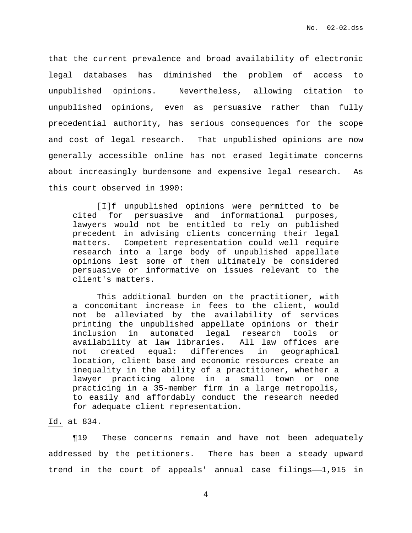that the current prevalence and broad availability of electronic legal databases has diminished the problem of access to unpublished opinions. Nevertheless, allowing citation to unpublished opinions, even as persuasive rather than fully precedential authority, has serious consequences for the scope and cost of legal research. That unpublished opinions are now generally accessible online has not erased legitimate concerns about increasingly burdensome and expensive legal research. As this court observed in 1990:

[I]f unpublished opinions were permitted to be cited for persuasive and informational purposes, lawyers would not be entitled to rely on published precedent in advising clients concerning their legal matters. Competent representation could well require research into a large body of unpublished appellate opinions lest some of them ultimately be considered persuasive or informative on issues relevant to the client's matters.

 This additional burden on the practitioner, with a concomitant increase in fees to the client, would not be alleviated by the availability of services printing the unpublished appellate opinions or their inclusion in automated legal research tools or availability at law libraries. All law offices are not created equal: differences in geographical location, client base and economic resources create an inequality in the ability of a practitioner, whether a lawyer practicing alone in a small town or one practicing in a 35-member firm in a large metropolis, to easily and affordably conduct the research needed for adequate client representation.

## Id. at 834.

 ¶19 These concerns remain and have not been adequately addressed by the petitioners. There has been a steady upward trend in the court of appeals' annual case filings——1,915 in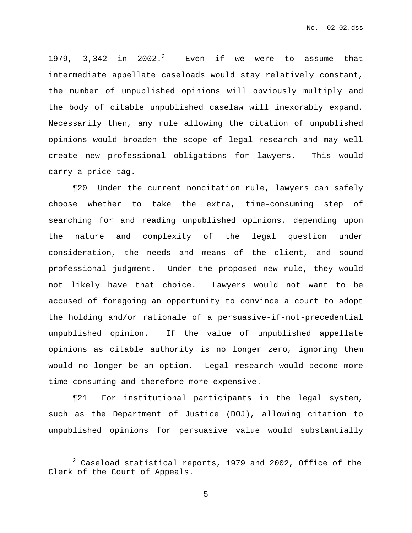1979, 3,342 in 2002.<sup>2</sup> Even if we were to assume that intermediate appellate caseloads would stay relatively constant, the number of unpublished opinions will obviously multiply and the body of citable unpublished caselaw will inexorably expand. Necessarily then, any rule allowing the citation of unpublished opinions would broaden the scope of legal research and may well create new professional obligations for lawyers. This would carry a price tag.

¶20 Under the current noncitation rule, lawyers can safely choose whether to take the extra, time-consuming step of searching for and reading unpublished opinions, depending upon the nature and complexity of the legal question under consideration, the needs and means of the client, and sound professional judgment. Under the proposed new rule, they would not likely have that choice. Lawyers would not want to be accused of foregoing an opportunity to convince a court to adopt the holding and/or rationale of a persuasive-if-not-precedential unpublished opinion. If the value of unpublished appellate opinions as citable authority is no longer zero, ignoring them would no longer be an option. Legal research would become more time-consuming and therefore more expensive.

 ¶21 For institutional participants in the legal system, such as the Department of Justice (DOJ), allowing citation to unpublished opinions for persuasive value would substantially

 $\begin{array}{c|c}\n\hline\n\text{2}\n\end{array}$  $2^2$  Caseload statistical reports, 1979 and 2002, Office of the Clerk of the Court of Appeals.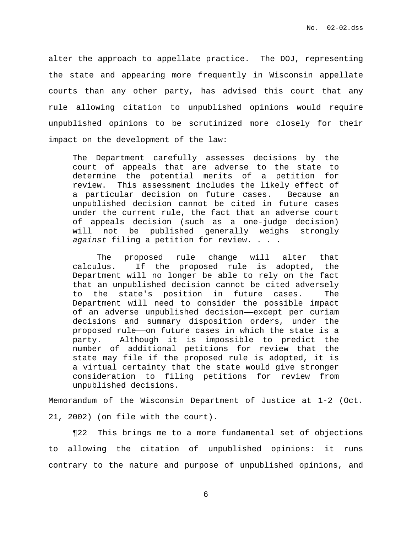alter the approach to appellate practice. The DOJ, representing the state and appearing more frequently in Wisconsin appellate courts than any other party, has advised this court that any rule allowing citation to unpublished opinions would require unpublished opinions to be scrutinized more closely for their impact on the development of the law:

The Department carefully assesses decisions by the court of appeals that are adverse to the state to determine the potential merits of a petition for review. This assessment includes the likely effect of a particular decision on future cases. Because an unpublished decision cannot be cited in future cases under the current rule, the fact that an adverse court of appeals decision (such as a one-judge decision) will not be published generally weighs strongly *against* filing a petition for review. . . .

The proposed rule change will alter that calculus. If the proposed rule is adopted, the Department will no longer be able to rely on the fact that an unpublished decision cannot be cited adversely to the state's position in future cases. The Department will need to consider the possible impact of an adverse unpublished decision—except per curiam decisions and summary disposition orders, under the proposed rule——on future cases in which the state is a party. Although it is impossible to predict the number of additional petitions for review that the state may file if the proposed rule is adopted, it is a virtual certainty that the state would give stronger consideration to filing petitions for review from unpublished decisions.

Memorandum of the Wisconsin Department of Justice at 1-2 (Oct. 21, 2002) (on file with the court).

¶22 This brings me to a more fundamental set of objections to allowing the citation of unpublished opinions: it runs contrary to the nature and purpose of unpublished opinions, and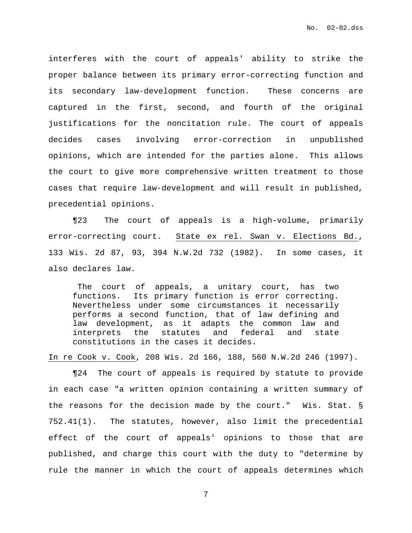interferes with the court of appeals' ability to strike the proper balance between its primary error-correcting function and its secondary law-development function. These concerns are captured in the first, second, and fourth of the original justifications for the noncitation rule. The court of appeals decides cases involving error-correction in unpublished opinions, which are intended for the parties alone. This allows the court to give more comprehensive written treatment to those cases that require law-development and will result in published, precedential opinions.

¶23 The court of appeals is a high-volume, primarily error-correcting court. State ex rel. Swan v. Elections Bd., 133 Wis. 2d 87, 93, 394 N.W.2d 732 (1982). In some cases, it also declares law.

 The court of appeals, a unitary court, has two functions. Its primary function is error correcting. Nevertheless under some circumstances it necessarily performs a second function, that of law defining and law development, as it adapts the common law and interprets the statutes and federal and state constitutions in the cases it decides.

In re Cook v. Cook, 208 Wis. 2d 166, 188, 560 N.W.2d 246 (1997).

¶24 The court of appeals is required by statute to provide in each case "a written opinion containing a written summary of the reasons for the decision made by the court." Wis. Stat. § 752.41(1). The statutes, however, also limit the precedential effect of the court of appeals' opinions to those that are published, and charge this court with the duty to "determine by rule the manner in which the court of appeals determines which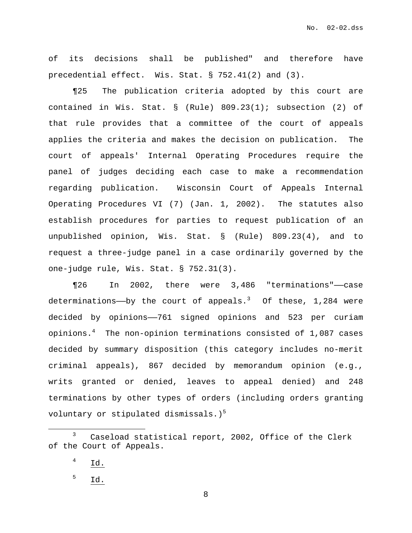of its decisions shall be published" and therefore have precedential effect. Wis. Stat. § 752.41(2) and (3).

¶25 The publication criteria adopted by this court are contained in Wis. Stat. § (Rule) 809.23(1); subsection (2) of that rule provides that a committee of the court of appeals applies the criteria and makes the decision on publication. The court of appeals' Internal Operating Procedures require the panel of judges deciding each case to make a recommendation regarding publication. Wisconsin Court of Appeals Internal Operating Procedures VI (7) (Jan. 1, 2002). The statutes also establish procedures for parties to request publication of an unpublished opinion, Wis. Stat. § (Rule) 809.23(4), and to request a three-judge panel in a case ordinarily governed by the one-judge rule, Wis. Stat. § 752.31(3).

¶26 In 2002, there were 3,486 "terminations"——case determinations——by the court of appeals. $^3$  Of these, 1,284 were decided by opinions——761 signed opinions and 523 per curiam opinions.<sup>4</sup> The non-opinion terminations consisted of 1,087 cases decided by summary disposition (this category includes no-merit criminal appeals), 867 decided by memorandum opinion (e.g., writs granted or denied, leaves to appeal denied) and 248 terminations by other types of orders (including orders granting voluntary or stipulated dismissals.)<sup>5</sup>

 $\frac{1}{3}$ <sup>3</sup> Caseload statistical report, 2002, Office of the Clerk of the Court of Appeals.

 <sup>4</sup>  $rac{4}{\sqrt{10}}$ .

 $5$  Id.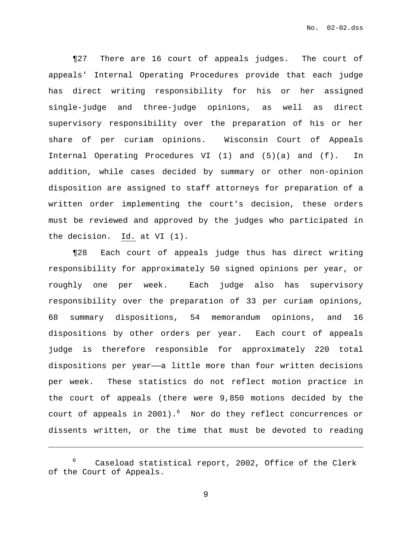¶27 There are 16 court of appeals judges. The court of appeals' Internal Operating Procedures provide that each judge has direct writing responsibility for his or her assigned single-judge and three-judge opinions, as well as direct supervisory responsibility over the preparation of his or her share of per curiam opinions. Wisconsin Court of Appeals Internal Operating Procedures VI (1) and (5)(a) and (f). In addition, while cases decided by summary or other non-opinion disposition are assigned to staff attorneys for preparation of a written order implementing the court's decision, these orders must be reviewed and approved by the judges who participated in the decision. Id. at VI (1).

¶28 Each court of appeals judge thus has direct writing responsibility for approximately 50 signed opinions per year, or roughly one per week. Each judge also has supervisory responsibility over the preparation of 33 per curiam opinions, 68 summary dispositions, 54 memorandum opinions, and 16 dispositions by other orders per year. Each court of appeals judge is therefore responsible for approximately 220 total dispositions per year-a little more than four written decisions per week. These statistics do not reflect motion practice in the court of appeals (there were 9,850 motions decided by the court of appeals in 2001).<sup>6</sup> Nor do they reflect concurrences or dissents written, or the time that must be devoted to reading

1

<sup>6</sup> Caseload statistical report, 2002, Office of the Clerk of the Court of Appeals.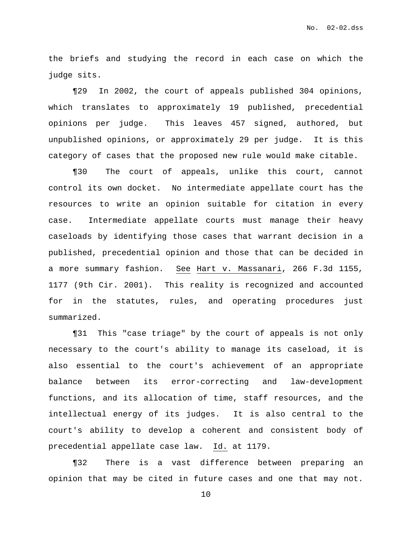the briefs and studying the record in each case on which the judge sits.

¶29 In 2002, the court of appeals published 304 opinions, which translates to approximately 19 published, precedential opinions per judge. This leaves 457 signed, authored, but unpublished opinions, or approximately 29 per judge. It is this category of cases that the proposed new rule would make citable.

¶30 The court of appeals, unlike this court, cannot control its own docket. No intermediate appellate court has the resources to write an opinion suitable for citation in every case. Intermediate appellate courts must manage their heavy caseloads by identifying those cases that warrant decision in a published, precedential opinion and those that can be decided in a more summary fashion. See Hart v. Massanari, 266 F.3d 1155, 1177 (9th Cir. 2001). This reality is recognized and accounted for in the statutes, rules, and operating procedures just summarized.

¶31 This "case triage" by the court of appeals is not only necessary to the court's ability to manage its caseload, it is also essential to the court's achievement of an appropriate balance between its error-correcting and law-development functions, and its allocation of time, staff resources, and the intellectual energy of its judges. It is also central to the court's ability to develop a coherent and consistent body of precedential appellate case law. Id. at 1179.

¶32 There is a vast difference between preparing an opinion that may be cited in future cases and one that may not.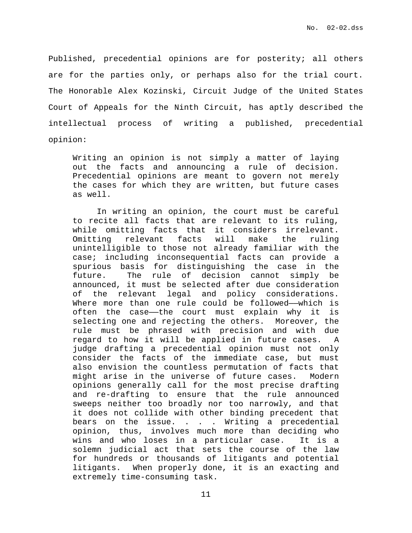Published, precedential opinions are for posterity; all others are for the parties only, or perhaps also for the trial court. The Honorable Alex Kozinski, Circuit Judge of the United States Court of Appeals for the Ninth Circuit, has aptly described the intellectual process of writing a published, precedential opinion:

Writing an opinion is not simply a matter of laying out the facts and announcing a rule of decision. Precedential opinions are meant to govern not merely the cases for which they are written, but future cases as well.

 In writing an opinion, the court must be careful to recite all facts that are relevant to its ruling, while omitting facts that it considers irrelevant. Omitting relevant facts will make the ruling unintelligible to those not already familiar with the case; including inconsequential facts can provide a spurious basis for distinguishing the case in the future. The rule of decision cannot simply be announced, it must be selected after due consideration of the relevant legal and policy considerations. Where more than one rule could be followed—which is often the case—the court must explain why it is selecting one and rejecting the others. Moreover, the rule must be phrased with precision and with due regard to how it will be applied in future cases. A judge drafting a precedential opinion must not only consider the facts of the immediate case, but must also envision the countless permutation of facts that might arise in the universe of future cases. Modern opinions generally call for the most precise drafting and re-drafting to ensure that the rule announced sweeps neither too broadly nor too narrowly, and that it does not collide with other binding precedent that bears on the issue. . . . Writing a precedential opinion, thus, involves much more than deciding who wins and who loses in a particular case. It is a solemn judicial act that sets the course of the law for hundreds or thousands of litigants and potential litigants. When properly done, it is an exacting and extremely time-consuming task.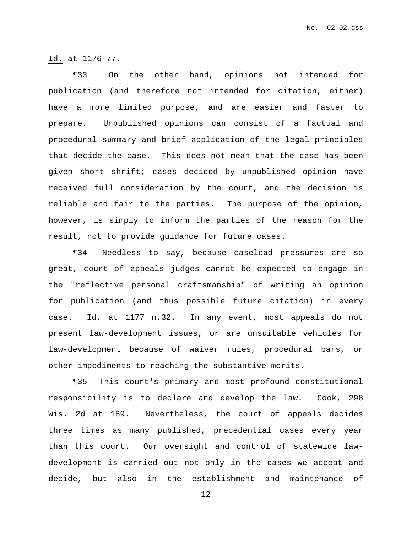Id. at 1176-77.

 ¶33 On the other hand, opinions not intended for publication (and therefore not intended for citation, either) have a more limited purpose, and are easier and faster to prepare. Unpublished opinions can consist of a factual and procedural summary and brief application of the legal principles that decide the case. This does not mean that the case has been given short shrift; cases decided by unpublished opinion have received full consideration by the court, and the decision is reliable and fair to the parties. The purpose of the opinion, however, is simply to inform the parties of the reason for the result, not to provide guidance for future cases.

 ¶34 Needless to say, because caseload pressures are so great, court of appeals judges cannot be expected to engage in the "reflective personal craftsmanship" of writing an opinion for publication (and thus possible future citation) in every case. Id. at 1177 n.32. In any event, most appeals do not present law-development issues, or are unsuitable vehicles for law-development because of waiver rules, procedural bars, or other impediments to reaching the substantive merits.

¶35 This court's primary and most profound constitutional responsibility is to declare and develop the law. Cook, 298 Wis. 2d at 189. Nevertheless, the court of appeals decides three times as many published, precedential cases every year than this court. Our oversight and control of statewide lawdevelopment is carried out not only in the cases we accept and decide, but also in the establishment and maintenance of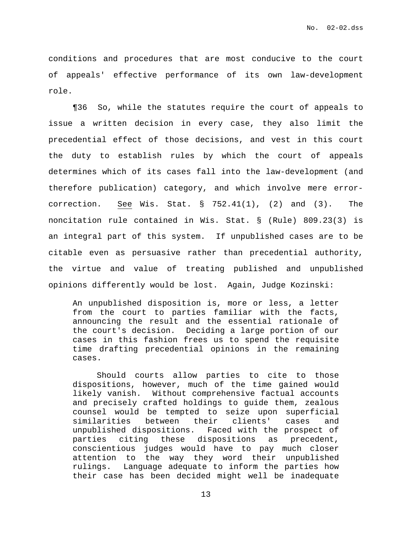conditions and procedures that are most conducive to the court of appeals' effective performance of its own law-development role.

¶36 So, while the statutes require the court of appeals to issue a written decision in every case, they also limit the precedential effect of those decisions, and vest in this court the duty to establish rules by which the court of appeals determines which of its cases fall into the law-development (and therefore publication) category, and which involve mere errorcorrection. See Wis. Stat.  $\S$  752.41(1), (2) and (3). The noncitation rule contained in Wis. Stat. § (Rule) 809.23(3) is an integral part of this system. If unpublished cases are to be citable even as persuasive rather than precedential authority, the virtue and value of treating published and unpublished opinions differently would be lost. Again, Judge Kozinski:

An unpublished disposition is, more or less, a letter from the court to parties familiar with the facts, announcing the result and the essential rationale of the court's decision. Deciding a large portion of our cases in this fashion frees us to spend the requisite time drafting precedential opinions in the remaining cases.

 Should courts allow parties to cite to those dispositions, however, much of the time gained would likely vanish. Without comprehensive factual accounts and precisely crafted holdings to guide them, zealous counsel would be tempted to seize upon superficial similarities between their clients' cases and unpublished dispositions. Faced with the prospect of parties citing these dispositions as precedent, conscientious judges would have to pay much closer attention to the way they word their unpublished rulings. Language adequate to inform the parties how their case has been decided might well be inadequate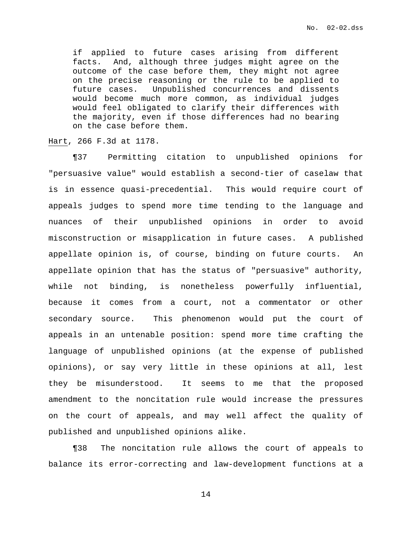if applied to future cases arising from different facts. And, although three judges might agree on the outcome of the case before them, they might not agree on the precise reasoning or the rule to be applied to future cases. Unpublished concurrences and dissents would become much more common, as individual judges would feel obligated to clarify their differences with the majority, even if those differences had no bearing on the case before them.

Hart, 266 F.3d at 1178.

¶37 Permitting citation to unpublished opinions for "persuasive value" would establish a second-tier of caselaw that is in essence quasi-precedential. This would require court of appeals judges to spend more time tending to the language and nuances of their unpublished opinions in order to avoid misconstruction or misapplication in future cases. A published appellate opinion is, of course, binding on future courts. An appellate opinion that has the status of "persuasive" authority, while not binding, is nonetheless powerfully influential, because it comes from a court, not a commentator or other secondary source. This phenomenon would put the court of appeals in an untenable position: spend more time crafting the language of unpublished opinions (at the expense of published opinions), or say very little in these opinions at all, lest they be misunderstood. It seems to me that the proposed amendment to the noncitation rule would increase the pressures on the court of appeals, and may well affect the quality of published and unpublished opinions alike.

¶38 The noncitation rule allows the court of appeals to balance its error-correcting and law-development functions at a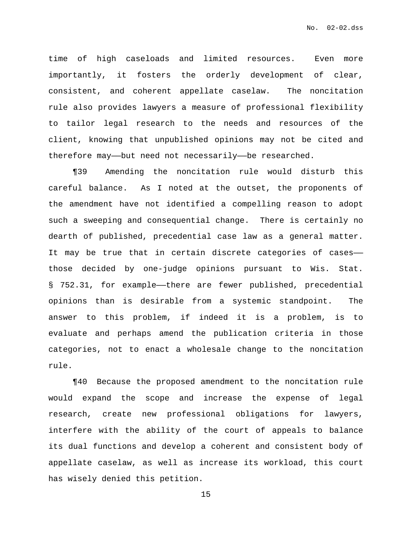time of high caseloads and limited resources. Even more importantly, it fosters the orderly development of clear, consistent, and coherent appellate caselaw. The noncitation rule also provides lawyers a measure of professional flexibility to tailor legal research to the needs and resources of the client, knowing that unpublished opinions may not be cited and therefore may—but need not necessarily—be researched.

¶39 Amending the noncitation rule would disturb this careful balance. As I noted at the outset, the proponents of the amendment have not identified a compelling reason to adopt such a sweeping and consequential change. There is certainly no dearth of published, precedential case law as a general matter. It may be true that in certain discrete categories of cases— those decided by one-judge opinions pursuant to Wis. Stat. § 752.31, for example-there are fewer published, precedential opinions than is desirable from a systemic standpoint. The answer to this problem, if indeed it is a problem, is to evaluate and perhaps amend the publication criteria in those categories, not to enact a wholesale change to the noncitation rule.

¶40 Because the proposed amendment to the noncitation rule would expand the scope and increase the expense of legal research, create new professional obligations for lawyers, interfere with the ability of the court of appeals to balance its dual functions and develop a coherent and consistent body of appellate caselaw, as well as increase its workload, this court has wisely denied this petition.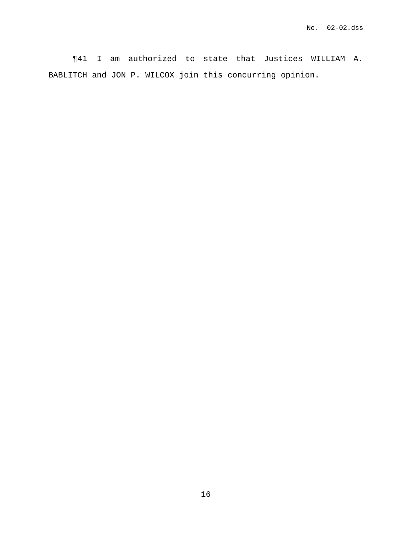¶41 I am authorized to state that Justices WILLIAM A. BABLITCH and JON P. WILCOX join this concurring opinion.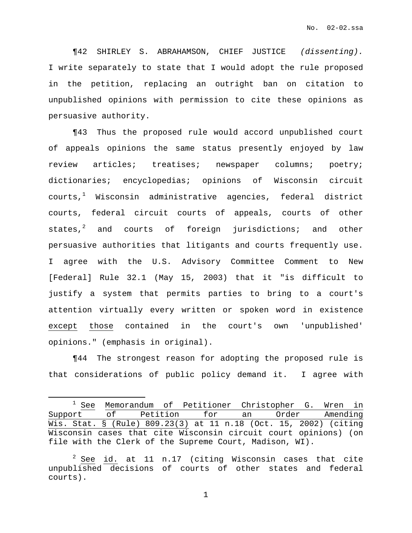¶42 SHIRLEY S. ABRAHAMSON, CHIEF JUSTICE *(dissenting).* I write separately to state that I would adopt the rule proposed in the petition, replacing an outright ban on citation to unpublished opinions with permission to cite these opinions as persuasive authority.

¶43 Thus the proposed rule would accord unpublished court of appeals opinions the same status presently enjoyed by law review articles; treatises; newspaper columns; poetry; dictionaries; encyclopedias; opinions of Wisconsin circuit courts,<sup>1</sup> Wisconsin administrative agencies, federal district courts, federal circuit courts of appeals, courts of other states, $^{2}$  and courts of foreign jurisdictions; and other persuasive authorities that litigants and courts frequently use. I agree with the U.S. Advisory Committee Comment to New [Federal] Rule 32.1 (May 15, 2003) that it "is difficult to justify a system that permits parties to bring to a court's attention virtually every written or spoken word in existence except those contained in the court's own 'unpublished' opinions." (emphasis in original).

¶44 The strongest reason for adopting the proposed rule is that considerations of public policy demand it. I agree with

<sup>1</sup>  $1$  See Memorandum of Petitioner Christopher G. Wren in Support of Petition for an Order Amending Wis. Stat. § (Rule) 809.23(3) at 11 n.18 (Oct. 15, 2002) (citing Wisconsin cases that cite Wisconsin circuit court opinions) (on file with the Clerk of the Supreme Court, Madison, WI).

 $2$  See id. at 11 n.17 (citing Wisconsin cases that cite unpublished decisions of courts of other states and federal courts).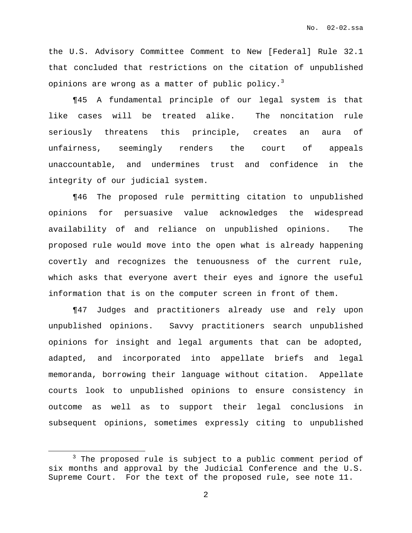the U.S. Advisory Committee Comment to New [Federal] Rule 32.1 that concluded that restrictions on the citation of unpublished opinions are wrong as a matter of public policy. $^3$ 

¶45 A fundamental principle of our legal system is that like cases will be treated alike. The noncitation rule seriously threatens this principle, creates an aura of unfairness, seemingly renders the court of appeals unaccountable, and undermines trust and confidence in the integrity of our judicial system.

¶46 The proposed rule permitting citation to unpublished opinions for persuasive value acknowledges the widespread availability of and reliance on unpublished opinions. The proposed rule would move into the open what is already happening covertly and recognizes the tenuousness of the current rule, which asks that everyone avert their eyes and ignore the useful information that is on the computer screen in front of them.

¶47 Judges and practitioners already use and rely upon unpublished opinions. Savvy practitioners search unpublished opinions for insight and legal arguments that can be adopted, adapted, and incorporated into appellate briefs and legal memoranda, borrowing their language without citation. Appellate courts look to unpublished opinions to ensure consistency in outcome as well as to support their legal conclusions in subsequent opinions, sometimes expressly citing to unpublished

 $\frac{1}{3}$  $3$  The proposed rule is subject to a public comment period of six months and approval by the Judicial Conference and the U.S. Supreme Court. For the text of the proposed rule, see note 11.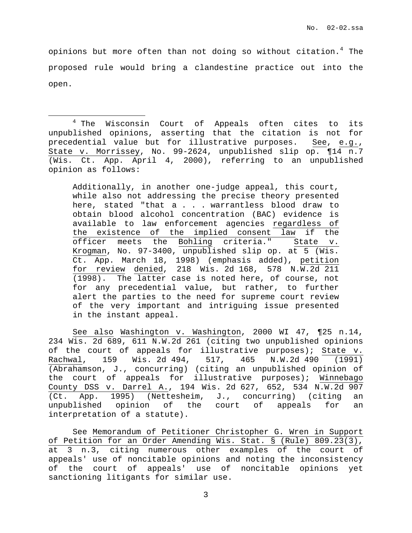opinions but more often than not doing so without citation.<sup>4</sup> The proposed rule would bring a clandestine practice out into the open.

 $\overline{\phantom{a}}$  $4$  The Wisconsin Court of Appeals often cites to its unpublished opinions, asserting that the citation is not for precedential value but for illustrative purposes. See, e.g., State v. Morrissey, No. 99-2624, unpublished slip op. ¶14 n.7 (Wis. Ct. App. April 4, 2000), referring to an unpublished opinion as follows:

Additionally, in another one-judge appeal, this court, while also not addressing the precise theory presented here, stated "that a . . . warrantless blood draw to obtain blood alcohol concentration (BAC) evidence is available to law enforcement agencies regardless of the existence of the implied consent law if the officer meets the Bohling criteria." State v. Krogman, No. 97-3400, unpublished slip op. at 5 (Wis. Ct. App. March 18, 1998) (emphasis added), petition for review denied, 218 Wis. 2d 168, 578 N.W.2d 211 (1998). The latter case is noted here, of course, not for any precedential value, but rather, to further alert the parties to the need for supreme court review of the very important and intriguing issue presented in the instant appeal.

See also Washington v. Washington, 2000 WI 47, ¶25 n.14, 234 Wis. 2d 689, 611 N.W.2d 261 (citing two unpublished opinions of the court of appeals for illustrative purposes); State v. Rachwal, 159 Wis. 2d 494, 517, 465 N.W.2d 490 (1991) (Abrahamson, J., concurring) (citing an unpublished opinion of the court of appeals for illustrative purposes); Winnebago County DSS v. Darrel A., 194 Wis. 2d 627, 652, 534 N.W.2d 907 (Ct. App. 1995) (Nettesheim, J., concurring) (citing an unpublished opinion of the court of appeals for an interpretation of a statute).

See Memorandum of Petitioner Christopher G. Wren in Support of Petition for an Order Amending Wis. Stat. § (Rule) 809.23(3), at 3 n.3, citing numerous other examples of the court of appeals' use of noncitable opinions and noting the inconsistency of the court of appeals' use of noncitable opinions yet sanctioning litigants for similar use.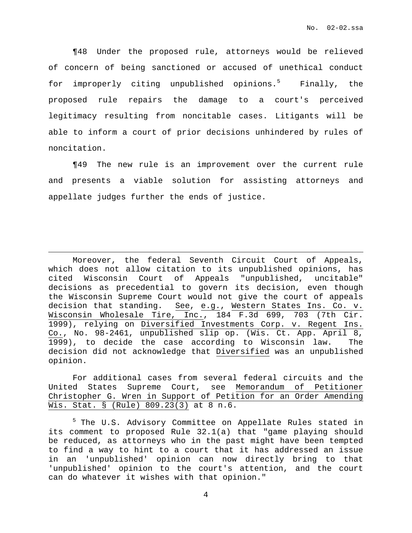¶48 Under the proposed rule, attorneys would be relieved of concern of being sanctioned or accused of unethical conduct for improperly citing unpublished opinions.<sup>5</sup> Finally, the proposed rule repairs the damage to a court's perceived legitimacy resulting from noncitable cases. Litigants will be able to inform a court of prior decisions unhindered by rules of noncitation.

¶49 The new rule is an improvement over the current rule and presents a viable solution for assisting attorneys and appellate judges further the ends of justice.

Moreover, the federal Seventh Circuit Court of Appeals, which does not allow citation to its unpublished opinions, has cited Wisconsin Court of Appeals "unpublished, uncitable" decisions as precedential to govern its decision, even though the Wisconsin Supreme Court would not give the court of appeals decision that standing. See, e.g., Western States Ins. Co. v. Wisconsin Wholesale Tire, Inc., 184 F.3d 699, 703 (7th Cir. 1999), relying on Diversified Investments Corp. v. Regent Ins. Co., No. 98-2461, unpublished slip op. (Wis. Ct. App. April 8, 1999), to decide the case according to Wisconsin law. The decision did not acknowledge that Diversified was an unpublished opinion.

<u>.</u>

For additional cases from several federal circuits and the United States Supreme Court, see Memorandum of Petitioner Christopher G. Wren in Support of Petition for an Order Amending Wis. Stat. § (Rule) 809.23(3) at 8 n.6.

<sup>5</sup> The U.S. Advisory Committee on Appellate Rules stated in its comment to proposed Rule 32.1(a) that "game playing should be reduced, as attorneys who in the past might have been tempted to find a way to hint to a court that it has addressed an issue in an 'unpublished' opinion can now directly bring to that 'unpublished' opinion to the court's attention, and the court can do whatever it wishes with that opinion."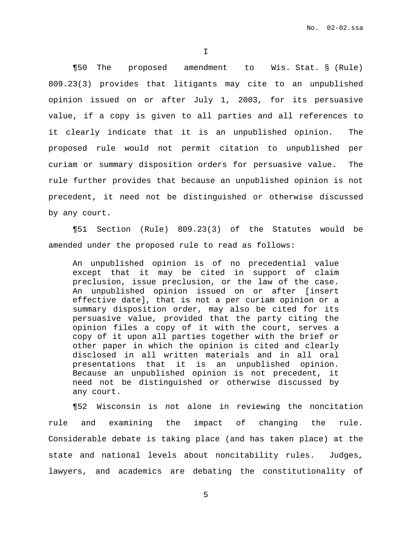I

¶50 The proposed amendment to Wis. Stat. § (Rule) 809.23(3) provides that litigants may cite to an unpublished opinion issued on or after July 1, 2003, for its persuasive value, if a copy is given to all parties and all references to it clearly indicate that it is an unpublished opinion. The proposed rule would not permit citation to unpublished per curiam or summary disposition orders for persuasive value. The rule further provides that because an unpublished opinion is not precedent, it need not be distinguished or otherwise discussed by any court.

¶51 Section (Rule) 809.23(3) of the Statutes would be amended under the proposed rule to read as follows:

An unpublished opinion is of no precedential value except that it may be cited in support of claim preclusion, issue preclusion, or the law of the case. An unpublished opinion issued on or after [insert effective date], that is not a per curiam opinion or a summary disposition order, may also be cited for its persuasive value, provided that the party citing the opinion files a copy of it with the court, serves a copy of it upon all parties together with the brief or other paper in which the opinion is cited and clearly disclosed in all written materials and in all oral presentations that it is an unpublished opinion. Because an unpublished opinion is not precedent, it need not be distinguished or otherwise discussed by any court.

¶52 Wisconsin is not alone in reviewing the noncitation rule and examining the impact of changing the rule. Considerable debate is taking place (and has taken place) at the state and national levels about noncitability rules. Judges, lawyers, and academics are debating the constitutionality of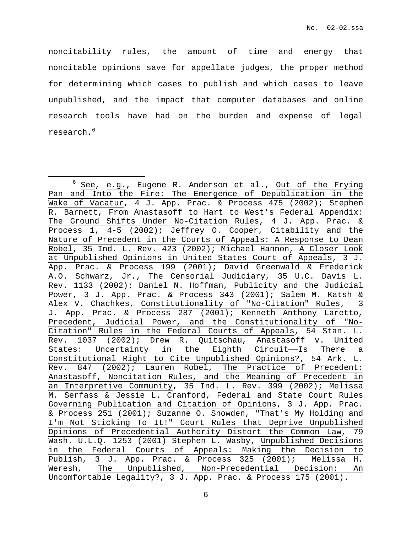noncitability rules, the amount of time and energy that noncitable opinions save for appellate judges, the proper method for determining which cases to publish and which cases to leave unpublished, and the impact that computer databases and online research tools have had on the burden and expense of legal research.<sup>6</sup>

<sup>6</sup>  $6$  See, e.g., Eugene R. Anderson et al., Out of the Frying Pan and Into the Fire: The Emergence of Depublication in the Wake of Vacatur, 4 J. App. Prac. & Process 475 (2002); Stephen R. Barnett, From Anastasoff to Hart to West's Federal Appendix: The Ground Shifts Under No-Citation Rules, 4 J. App. Prac. & Process 1, 4-5 (2002); Jeffrey O. Cooper, Citability and the Nature of Precedent in the Courts of Appeals: A Response to Dean Robel, 35 Ind. L. Rev. 423 (2002); Michael Hannon, A Closer Look at Unpublished Opinions in United States Court of Appeals, 3 J. App. Prac. & Process 199 (2001); David Greenwald & Frederick A.O. Schwarz, Jr., The Censorial Judiciary, 35 U.C. Davis L. Rev. 1133 (2002); Daniel N. Hoffman, Publicity and the Judicial Power, 3 J. App. Prac. & Process 343 (2001); Salem M. Katsh & Alex V. Chachkes, Constitutionality of "No-Citation" Rules, 3 J. App. Prac. & Process 287 (2001); Kenneth Anthony Laretto, Precedent, Judicial Power, and the Constitutionality of "No-Citation" Rules in the Federal Courts of Appeals, 54 Stan. L. Rev. 1037 (2002); Drew R. Quitschau, Anastasoff v. United States: Uncertainty in the Eighth Circuit——Is There a Constitutional Right to Cite Unpublished Opinions?, 54 Ark. L. Rev. 847 (2002); Lauren Robel, The Practice of Precedent: Anastasoff, Noncitation Rules, and the Meaning of Precedent in an Interpretive Community, 35 Ind. L. Rev. 399 (2002); Melissa M. Serfass & Jessie L. Cranford, Federal and State Court Rules Governing Publication and Citation of Opinions, 3 J. App. Prac. & Process 251 (2001); Suzanne O. Snowden, "That's My Holding and I'm Not Sticking To It!" Court Rules that Deprive Unpublished Opinions of Precedential Authority Distort the Common Law, 79 Wash. U.L.Q. 1253 (2001) Stephen L. Wasby, Unpublished Decisions in the Federal Courts of Appeals: Making the Decision to Publish, 3 J. App. Prac. & Process 325 (2001); Melissa H. Weresh, The Unpublished, Non-Precedential Decision: An Uncomfortable Legality?, 3 J. App. Prac. & Process 175 (2001).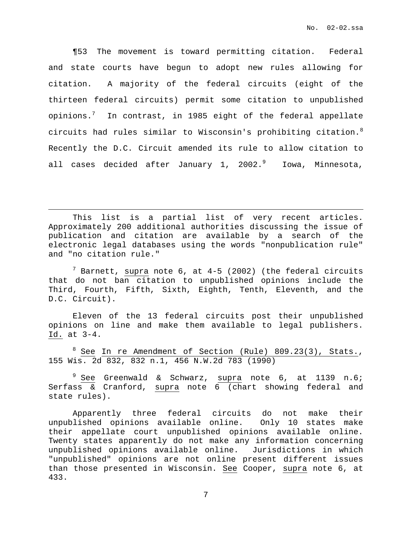¶53 The movement is toward permitting citation. Federal and state courts have begun to adopt new rules allowing for citation. A majority of the federal circuits (eight of the thirteen federal circuits) permit some citation to unpublished opinions.<sup>7</sup> In contrast, in 1985 eight of the federal appellate circuits had rules similar to Wisconsin's prohibiting citation.<sup>8</sup> Recently the D.C. Circuit amended its rule to allow citation to all cases decided after January 1, 2002.<sup>9</sup> Iowa, Minnesota,

This list is a partial list of very recent articles. Approximately 200 additional authorities discussing the issue of publication and citation are available by a search of the electronic legal databases using the words "nonpublication rule" and "no citation rule."

1

 $^7$  Barnett,  $\overline{{\rm supera}}$  note 6, at 4-5 (2002) (the federal circuits that do not ban citation to unpublished opinions include the Third, Fourth, Fifth, Sixth, Eighth, Tenth, Eleventh, and the D.C. Circuit).

Eleven of the 13 federal circuits post their unpublished opinions on line and make them available to legal publishers. Id. at 3-4.

<sup>8</sup> See In re Amendment of Section (Rule) 809.23(3), Stats., 155 Wis. 2d 832, 832 n.1, 456 N.W.2d 783 (1990)

9 See Greenwald & Schwarz, supra note 6, at 1139 n.6; Serfass  $\overline{\&}$  Cranford, supra note  $\overline{6}$  (chart showing federal and state rules).

Apparently three federal circuits do not make their unpublished opinions available online. Only 10 states make their appellate court unpublished opinions available online. Twenty states apparently do not make any information concerning unpublished opinions available online. Jurisdictions in which "unpublished" opinions are not online present different issues than those presented in Wisconsin. See Cooper, supra note 6, at 433.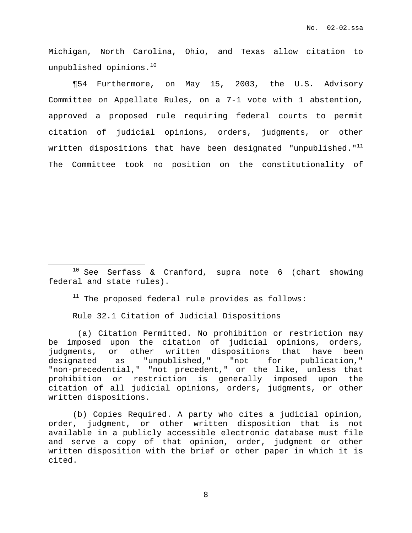Michigan, North Carolina, Ohio, and Texas allow citation to unpublished opinions.<sup>10</sup>

¶54 Furthermore, on May 15, 2003, the U.S. Advisory Committee on Appellate Rules, on a 7-1 vote with 1 abstention, approved a proposed rule requiring federal courts to permit citation of judicial opinions, orders, judgments, or other written dispositions that have been designated "unpublished." $^{11}$ The Committee took no position on the constitutionality of

 $11$  The proposed federal rule provides as follows:

Rule 32.1 Citation of Judicial Dispositions

 (a) Citation Permitted. No prohibition or restriction may be imposed upon the citation of judicial opinions, orders, judgments, or other written dispositions that have been designated as "unpublished," "not for publication," "non-precedential," "not precedent," or the like, unless that prohibition or restriction is generally imposed upon the citation of all judicial opinions, orders, judgments, or other written dispositions.

(b) Copies Required. A party who cites a judicial opinion, order, judgment, or other written disposition that is not available in a publicly accessible electronic database must file and serve a copy of that opinion, order, judgment or other written disposition with the brief or other paper in which it is cited.

<sup>&</sup>lt;sup>10</sup> See Serfass & Cranford,  $\frac{\text{supra}}{\text{supra}}$  note 6 (chart showing federal and state rules).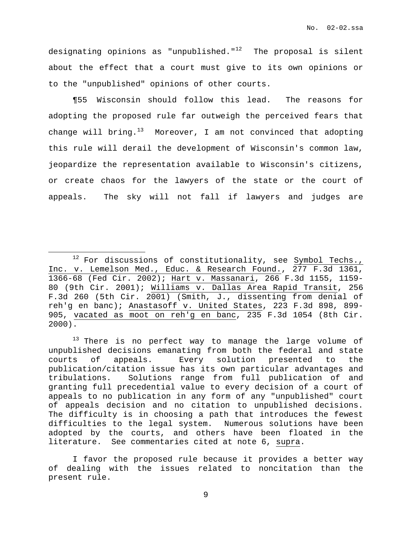designating opinions as "unpublished." $12$  The proposal is silent about the effect that a court must give to its own opinions or to the "unpublished" opinions of other courts.

¶55 Wisconsin should follow this lead. The reasons for adopting the proposed rule far outweigh the perceived fears that change will bring. $13$  Moreover, I am not convinced that adopting this rule will derail the development of Wisconsin's common law, jeopardize the representation available to Wisconsin's citizens, or create chaos for the lawyers of the state or the court of appeals. The sky will not fall if lawyers and judges are

 $12$  For discussions of constitutionality, see Symbol Techs., Inc. v. Lemelson Med., Educ. & Research Found., 277 F.3d 1361, 1366-68 (Fed Cir. 2002); Hart v. Massanari, 266 F.3d 1155, 1159- 80 (9th Cir. 2001); Williams v. Dallas Area Rapid Transit, 256 F.3d 260 (5th Cir. 2001) (Smith, J., dissenting from denial of reh'g en banc); Anastasoff v. United States, 223 F.3d 898, 899- 905, vacated as moot on reh'g en banc, 235 F.3d 1054 (8th Cir. 2000).

 $13$  There is no perfect way to manage the large volume of unpublished decisions emanating from both the federal and state courts of appeals. Every solution presented to the publication/citation issue has its own particular advantages and tribulations. Solutions range from full publication of and granting full precedential value to every decision of a court of appeals to no publication in any form of any "unpublished" court of appeals decision and no citation to unpublished decisions. The difficulty is in choosing a path that introduces the fewest difficulties to the legal system. Numerous solutions have been adopted by the courts, and others have been floated in the literature. See commentaries cited at note 6, supra.

I favor the proposed rule because it provides a better way of dealing with the issues related to noncitation than the present rule.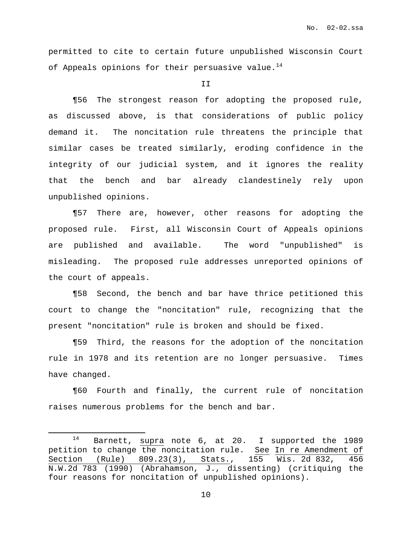permitted to cite to certain future unpublished Wisconsin Court of Appeals opinions for their persuasive value. $^{14}$ 

T<sub>T</sub>

¶56 The strongest reason for adopting the proposed rule, as discussed above, is that considerations of public policy demand it. The noncitation rule threatens the principle that similar cases be treated similarly, eroding confidence in the integrity of our judicial system, and it ignores the reality that the bench and bar already clandestinely rely upon unpublished opinions.

¶57 There are, however, other reasons for adopting the proposed rule. First, all Wisconsin Court of Appeals opinions are published and available. The word "unpublished" is misleading. The proposed rule addresses unreported opinions of the court of appeals.

¶58 Second, the bench and bar have thrice petitioned this court to change the "noncitation" rule, recognizing that the present "noncitation" rule is broken and should be fixed.

¶59 Third, the reasons for the adoption of the noncitation rule in 1978 and its retention are no longer persuasive. Times have changed.

¶60 Fourth and finally, the current rule of noncitation raises numerous problems for the bench and bar.

14 Barnett, supra note 6, at 20. I supported the 1989 petition to change the noncitation rule. See In re Amendment of Section (Rule) 809.23(3), Stats., 155 Wis. 2d 832, 456 N.W.2d 783 (1990) (Abrahamson, J., dissenting) (critiquing the four reasons for noncitation of unpublished opinions).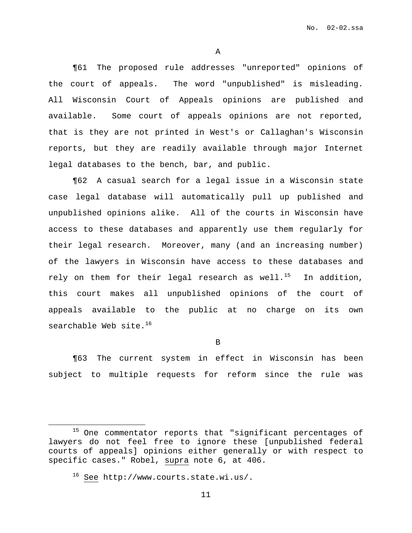A

¶61 The proposed rule addresses "unreported" opinions of the court of appeals. The word "unpublished" is misleading. All Wisconsin Court of Appeals opinions are published and available. Some court of appeals opinions are not reported, that is they are not printed in West's or Callaghan's Wisconsin reports, but they are readily available through major Internet legal databases to the bench, bar, and public.

¶62 A casual search for a legal issue in a Wisconsin state case legal database will automatically pull up published and unpublished opinions alike. All of the courts in Wisconsin have access to these databases and apparently use them regularly for their legal research. Moreover, many (and an increasing number) of the lawyers in Wisconsin have access to these databases and rely on them for their legal research as well. $^{15}$  In addition, this court makes all unpublished opinions of the court of appeals available to the public at no charge on its own searchable Web site.<sup>16</sup>

B

¶63 The current system in effect in Wisconsin has been subject to multiple requests for reform since the rule was

<sup>&</sup>lt;sup>15</sup> One commentator reports that "significant percentages of lawyers do not feel free to ignore these [unpublished federal courts of appeals] opinions either generally or with respect to specific cases." Robel, supra note 6, at 406.

<sup>16</sup> See http://www.courts.state.wi.us/.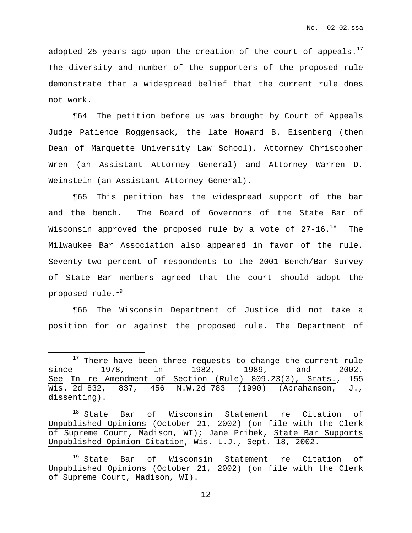adopted 25 years ago upon the creation of the court of appeals.<sup>17</sup> The diversity and number of the supporters of the proposed rule demonstrate that a widespread belief that the current rule does not work.

¶64 The petition before us was brought by Court of Appeals Judge Patience Roggensack, the late Howard B. Eisenberg (then Dean of Marquette University Law School), Attorney Christopher Wren (an Assistant Attorney General) and Attorney Warren D. Weinstein (an Assistant Attorney General).

¶65 This petition has the widespread support of the bar and the bench. The Board of Governors of the State Bar of Wisconsin approved the proposed rule by a vote of  $27-16.^{18}$  The Milwaukee Bar Association also appeared in favor of the rule. Seventy-two percent of respondents to the 2001 Bench/Bar Survey of State Bar members agreed that the court should adopt the proposed rule.<sup>19</sup>

¶66 The Wisconsin Department of Justice did not take a position for or against the proposed rule. The Department of

 $17$  There have been three requests to change the current rule since 1978, in 1982, 1989, and 2002. See In re Amendment of Section (Rule) 809.23(3), Stats., 155 Wis. 2d 832, 837, 456 N.W.2d 783 (1990) (Abrahamson, J., dissenting).

<sup>&</sup>lt;sup>18</sup> State Bar of Wisconsin Statement re Citation of Unpublished Opinions (October 21, 2002) (on file with the Clerk of Supreme Court, Madison, WI); Jane Pribek, State Bar Supports Unpublished Opinion Citation, Wis. L.J., Sept. 18, 2002.

<sup>&</sup>lt;sup>19</sup> State Bar of Wisconsin Statement re Citation of Unpublished Opinions (October 21, 2002) (on file with the Clerk of Supreme Court, Madison, WI).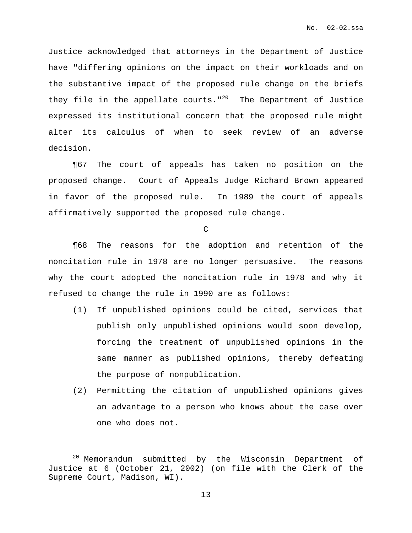Justice acknowledged that attorneys in the Department of Justice have "differing opinions on the impact on their workloads and on the substantive impact of the proposed rule change on the briefs they file in the appellate courts." $^{20}$  The Department of Justice expressed its institutional concern that the proposed rule might alter its calculus of when to seek review of an adverse decision.

¶67 The court of appeals has taken no position on the proposed change. Court of Appeals Judge Richard Brown appeared in favor of the proposed rule. In 1989 the court of appeals affirmatively supported the proposed rule change.

 $\mathcal{C}$ 

¶68 The reasons for the adoption and retention of the noncitation rule in 1978 are no longer persuasive. The reasons why the court adopted the noncitation rule in 1978 and why it refused to change the rule in 1990 are as follows:

- (1) If unpublished opinions could be cited, services that publish only unpublished opinions would soon develop, forcing the treatment of unpublished opinions in the same manner as published opinions, thereby defeating the purpose of nonpublication.
- (2) Permitting the citation of unpublished opinions gives an advantage to a person who knows about the case over one who does not.

20 Memorandum submitted by the Wisconsin Department of Justice at 6 (October 21, 2002) (on file with the Clerk of the Supreme Court, Madison, WI).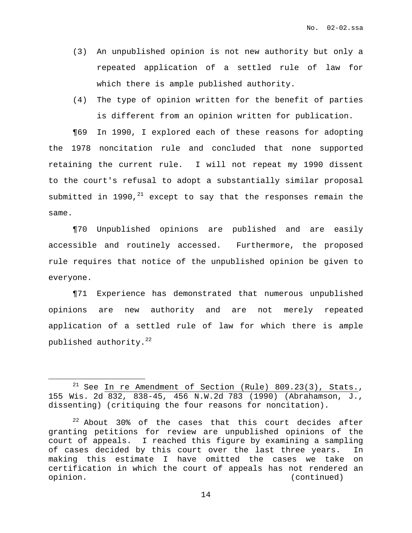- (3) An unpublished opinion is not new authority but only a repeated application of a settled rule of law for which there is ample published authority.
- (4) The type of opinion written for the benefit of parties is different from an opinion written for publication.

¶69 In 1990, I explored each of these reasons for adopting the 1978 noncitation rule and concluded that none supported retaining the current rule. I will not repeat my 1990 dissent to the court's refusal to adopt a substantially similar proposal submitted in 1990, $^{21}$  except to say that the responses remain the same.

¶70 Unpublished opinions are published and are easily accessible and routinely accessed. Furthermore, the proposed rule requires that notice of the unpublished opinion be given to everyone.

¶71 Experience has demonstrated that numerous unpublished opinions are new authority and are not merely repeated application of a settled rule of law for which there is ample published authority. $^{22}$ 

 $21$  See In re Amendment of Section (Rule) 809.23(3), Stats., 155 Wis. 2d 832, 838-45, 456 N.W.2d 783 (1990) (Abrahamson, J., dissenting) (critiquing the four reasons for noncitation).

 $22$  About 30% of the cases that this court decides after granting petitions for review are unpublished opinions of the court of appeals. I reached this figure by examining a sampling of cases decided by this court over the last three years. In making this estimate I have omitted the cases we take on certification in which the court of appeals has not rendered an opinion. (continued)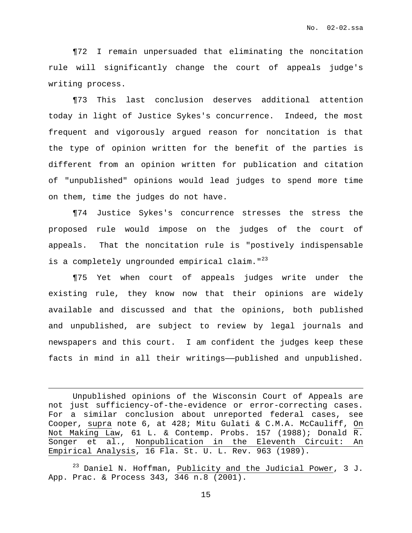¶72 I remain unpersuaded that eliminating the noncitation rule will significantly change the court of appeals judge's writing process.

¶73 This last conclusion deserves additional attention today in light of Justice Sykes's concurrence. Indeed, the most frequent and vigorously argued reason for noncitation is that the type of opinion written for the benefit of the parties is different from an opinion written for publication and citation of "unpublished" opinions would lead judges to spend more time on them, time the judges do not have.

¶74 Justice Sykes's concurrence stresses the stress the proposed rule would impose on the judges of the court of appeals. That the noncitation rule is "postively indispensable is a completely ungrounded empirical claim."<sup>23</sup>

¶75 Yet when court of appeals judges write under the existing rule, they know now that their opinions are widely available and discussed and that the opinions, both published and unpublished, are subject to review by legal journals and newspapers and this court. I am confident the judges keep these facts in mind in all their writings—published and unpublished.

1

Unpublished opinions of the Wisconsin Court of Appeals are not just sufficiency-of-the-evidence or error-correcting cases. For a similar conclusion about unreported federal cases, see Cooper, supra note 6, at 428; Mitu Gulati & C.M.A. McCauliff, On Not Making Law, 61 L. & Contemp. Probs. 157 (1988); Donald R. Songer et al., Nonpublication in the Eleventh Circuit: An Empirical Analysis, 16 Fla. St. U. L. Rev. 963 (1989).

 $^{23}$  Daniel N. Hoffman, Publicity and the Judicial Power, 3 J. App. Prac. & Process 343, 346 n.8 (2001).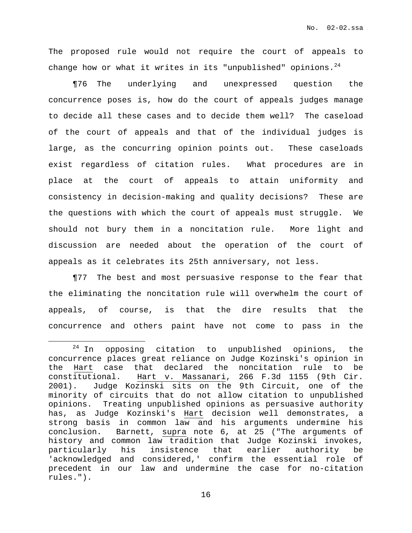The proposed rule would not require the court of appeals to change how or what it writes in its "unpublished" opinions. $^{24}$ 

¶76 The underlying and unexpressed question the concurrence poses is, how do the court of appeals judges manage to decide all these cases and to decide them well? The caseload of the court of appeals and that of the individual judges is large, as the concurring opinion points out. These caseloads exist regardless of citation rules. What procedures are in place at the court of appeals to attain uniformity and consistency in decision-making and quality decisions? These are the questions with which the court of appeals must struggle. We should not bury them in a noncitation rule. More light and discussion are needed about the operation of the court of appeals as it celebrates its 25th anniversary, not less.

¶77 The best and most persuasive response to the fear that the eliminating the noncitation rule will overwhelm the court of appeals, of course, is that the dire results that the concurrence and others paint have not come to pass in the

 $24$  In opposing citation to unpublished opinions, the concurrence places great reliance on Judge Kozinski's opinion in the Hart case that declared the noncitation rule to be constitutional. Hart v. Massanari, 266 F.3d 1155 (9th Cir. 2001). Judge Kozinski sits on the 9th Circuit, one of the minority of circuits that do not allow citation to unpublished opinions. Treating unpublished opinions as persuasive authority has, as Judge Kozinski's Hart decision well demonstrates, a strong basis in common law and his arguments undermine his conclusion. Barnett, supra note 6, at 25 ("The arguments of history and common law tradition that Judge Kozinski invokes, particularly his insistence that earlier authority be 'acknowledged and considered,' confirm the essential role of precedent in our law and undermine the case for no-citation rules.").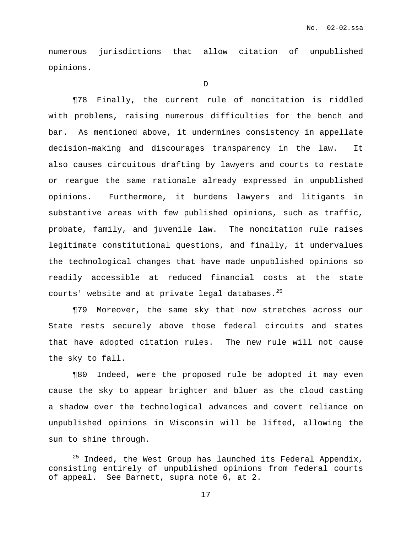numerous jurisdictions that allow citation of unpublished opinions.

D

¶78 Finally, the current rule of noncitation is riddled with problems, raising numerous difficulties for the bench and bar. As mentioned above, it undermines consistency in appellate decision-making and discourages transparency in the law. It also causes circuitous drafting by lawyers and courts to restate or reargue the same rationale already expressed in unpublished opinions. Furthermore, it burdens lawyers and litigants in substantive areas with few published opinions, such as traffic, probate, family, and juvenile law. The noncitation rule raises legitimate constitutional questions, and finally, it undervalues the technological changes that have made unpublished opinions so readily accessible at reduced financial costs at the state courts' website and at private legal databases.<sup>25</sup>

¶79 Moreover, the same sky that now stretches across our State rests securely above those federal circuits and states that have adopted citation rules. The new rule will not cause the sky to fall.

¶80 Indeed, were the proposed rule be adopted it may even cause the sky to appear brighter and bluer as the cloud casting a shadow over the technological advances and covert reliance on unpublished opinions in Wisconsin will be lifted, allowing the sun to shine through.

 $25$  Indeed, the West Group has launched its Federal Appendix, consisting entirely of unpublished opinions from federal courts of appeal. See Barnett, supra note 6, at 2.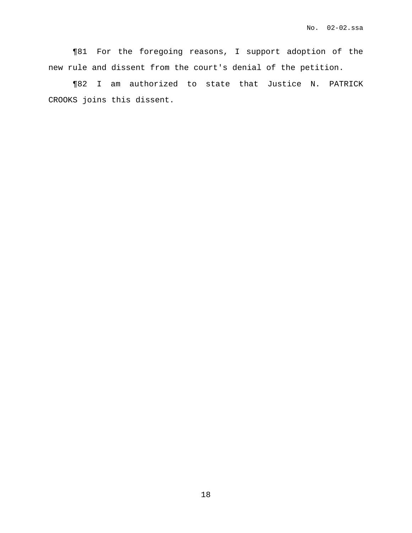¶81 For the foregoing reasons, I support adoption of the new rule and dissent from the court's denial of the petition.

¶82 I am authorized to state that Justice N. PATRICK CROOKS joins this dissent.